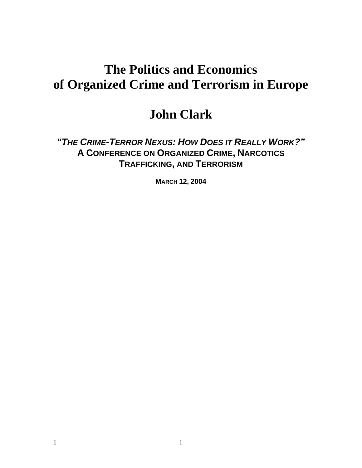# **The Politics and Economics of Organized Crime and Terrorism in Europe**

## **John Clark**

*"THE CRIME-TERROR NEXUS: HOW DOES IT REALLY WORK?"*  **A CONFERENCE ON ORGANIZED CRIME, NARCOTICS TRAFFICKING, AND TERRORISM**

**MARCH 12, 2004**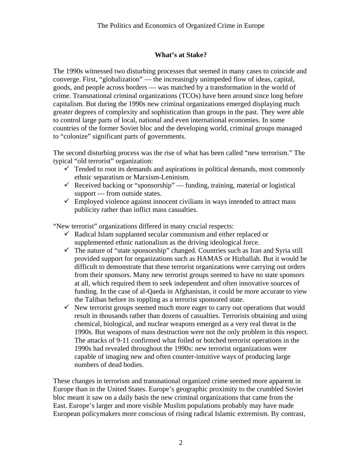## **What's at Stake?**

The 1990s witnessed two disturbing processes that seemed in many cases to coincide and converge. First, "globalization" — the increasingly unimpeded flow of ideas, capital, goods, and people across borders — was matched by a transformation in the world of crime. Transnational criminal organizations (TCOs) have been around since long before capitalism. But during the 1990s new criminal organizations emerged displaying much greater degrees of complexity and sophistication than groups in the past. They were able to control large parts of local, national and even international economies. In some countries of the former Soviet bloc and the developing world, criminal groups managed to "colonize" significant parts of governments.

The second disturbing process was the rise of what has been called "new terrorism." The typical "old terrorist" organization:

- $\checkmark$  Tended to root its demands and aspirations in political demands, most commonly ethnic separatism or Marxism-Leninism.
- $\checkmark$  Received backing or "sponsorship" funding, training, material or logistical support — from outside states.
- $\checkmark$  Employed violence against innocent civilians in ways intended to attract mass publicity rather than inflict mass casualties.

"New terrorist" organizations differed in many crucial respects:

- $\checkmark$  Radical Islam supplanted secular communism and either replaced or supplemented ethnic nationalism as the driving ideological force.
- $\checkmark$  The nature of "state sponsorship" changed. Countries such as Iran and Syria still provided support for organizations such as HAMAS or Hizballah. But it would be difficult to demonstrate that these terrorist organizations were carrying out orders from their sponsors. Many new terrorist groups seemed to have no state sponsors at all, which required them to seek independent and often innovative sources of funding. In the case of al-Qaeda in Afghanistan, it could be more accurate to view the Taliban before its toppling as a terrorist sponsored state.
- $\checkmark$  New terrorist groups seemed much more eager to carry out operations that would result in thousands rather than dozens of casualties. Terrorists obtaining and using chemical, biological, and nuclear weapons emerged as a very real threat in the 1990s. But weapons of mass destruction were not the only problem in this respect. The attacks of 9-11 confirmed what foiled or botched terrorist operations in the 1990s had revealed throughout the 1990s: new terrorist organizations were capable of imaging new and often counter-intuitive ways of producing large numbers of dead bodies.

These changes in terrorism and transnational organized crime seemed more apparent in Europe than in the United States. Europe's geographic proximity to the crumbled Soviet bloc meant it saw on a daily basis the new criminal organizations that came from the East. Europe's larger and more visible Muslim populations probably may have made European policymakers more conscious of rising radical Islamic extremism. By contrast,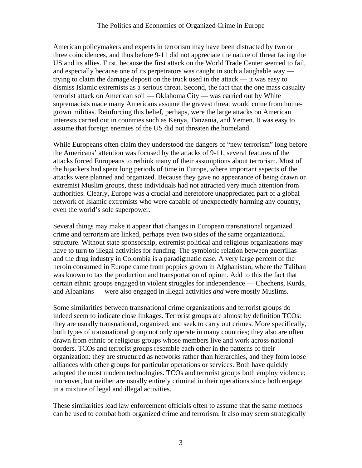American policymakers and experts in terrorism may have been distracted by two or three coincidences, and thus before 9-11 did not appreciate the nature of threat facing the US and its allies. First, because the first attack on the World Trade Center seemed to fail, and especially because one of its perpetrators was caught in such a laughable way trying to claim the damage deposit on the truck used in the attack — it was easy to dismiss Islamic extremists as a serious threat. Second, the fact that the one mass casualty terrorist attack on American soil — Oklahoma City — was carried out by White supremacists made many Americans assume the gravest threat would come from homegrown militias. Reinforcing this belief, perhaps, were the large attacks on American interests carried out in countries such as Kenya, Tanzania, and Yemen. It was easy to assume that foreign enemies of the US did not threaten the homeland.

While Europeans often claim they understood the dangers of "new terrorism" long before the Americans' attention was focused by the attacks of 9-11, several features of the attacks forced Europeans to rethink many of their assumptions about terrorism. Most of the hijackers had spent long periods of time in Europe, where important aspects of the attacks were planned and organized. Because they gave no appearance of being drawn or extremist Muslim groups, these individuals had not attracted very much attention from authorities. Clearly, Europe was a crucial and heretofore unappreciated part of a global network of Islamic extremists who were capable of unexpectedly harming any country, even the world's sole superpower.

Several things may make it appear that changes in European transnational organized crime and terrorism are linked, perhaps even two sides of the same organizational structure. Without state sponsorship, extremist political and religious organizations may have to turn to illegal activities for funding. The symbiotic relation between guerrillas and the drug industry in Colombia is a paradigmatic case. A very large percent of the heroin consumed in Europe came from poppies grown in Afghanistan, where the Taliban was known to tax the production and transportation of opium. Add to this the fact that certain ethnic groups engaged in violent struggles for independence — Chechens, Kurds, and Albanians — were also engaged in illegal activities *and* were mostly Muslims.

Some similarities between transnational crime organizations and terrorist groups do indeed seem to indicate close linkages. Terrorist groups are almost by definition TCOs: they are usually transnational, organized, and seek to carry out crimes. More specifically, both types of transnational group not only operate in many countries; they also are often drawn from ethnic or religious groups whose members live and work across national borders. TCOs and terrorist groups resemble each other in the patterns of their organization: they are structured as networks rather than hierarchies, and they form loose alliances with other groups for particular operations or services. Both have quickly adopted the most modern technologies. TCOs and terrorist groups both employ violence; moreover, but neither are usually entirely criminal in their operations since both engage in a mixture of legal and illegal activities.

These similarities lead law enforcement officials often to assume that the same methods can be used to combat both organized crime and terrorism. It also may seem strategically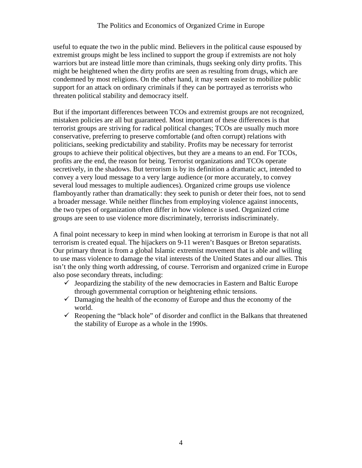useful to equate the two in the public mind. Believers in the political cause espoused by extremist groups might be less inclined to support the group if extremists are not holy warriors but are instead little more than criminals, thugs seeking only dirty profits. This might be heightened when the dirty profits are seen as resulting from drugs, which are condemned by most religions. On the other hand, it may seem easier to mobilize public support for an attack on ordinary criminals if they can be portrayed as terrorists who threaten political stability and democracy itself.

But if the important differences between TCOs and extremist groups are not recognized, mistaken policies are all but guaranteed. Most important of these differences is that terrorist groups are striving for radical political changes; TCOs are usually much more conservative, preferring to preserve comfortable (and often corrupt) relations with politicians, seeking predictability and stability. Profits may be necessary for terrorist groups to achieve their political objectives, but they are a means to an end. For TCOs, profits are the end, the reason for being. Terrorist organizations and TCOs operate secretively, in the shadows. But terrorism is by its definition a dramatic act, intended to convey a very loud message to a very large audience (or more accurately, to convey several loud messages to multiple audiences). Organized crime groups use violence flamboyantly rather than dramatically: they seek to punish or deter their foes, not to send a broader message. While neither flinches from employing violence against innocents, the two types of organization often differ in how violence is used. Organized crime groups are seen to use violence more discriminately, terrorists indiscriminately.

A final point necessary to keep in mind when looking at terrorism in Europe is that not all terrorism is created equal. The hijackers on 9-11 weren't Basques or Breton separatists. Our primary threat is from a global Islamic extremist movement that is able and willing to use mass violence to damage the vital interests of the United States and our allies. This isn't the only thing worth addressing, of course. Terrorism and organized crime in Europe also pose secondary threats, including:

- $\checkmark$  Jeopardizing the stability of the new democracies in Eastern and Baltic Europe through governmental corruption or heightening ethnic tensions.
- $\checkmark$  Damaging the health of the economy of Europe and thus the economy of the world.
- $\checkmark$  Reopening the "black hole" of disorder and conflict in the Balkans that threatened the stability of Europe as a whole in the 1990s.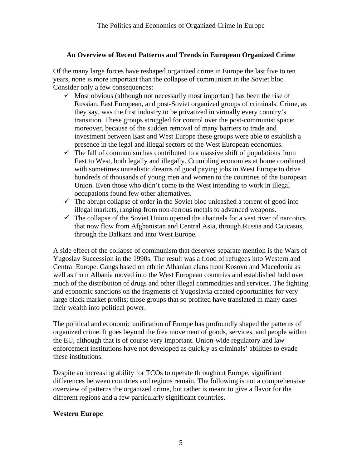#### **An Overview of Recent Patterns and Trends in European Organized Crime**

Of the many large forces have reshaped organized crime in Europe the last five to ten years, none is more important than the collapse of communism in the Soviet bloc. Consider only a few consequences:

- $\checkmark$  Most obvious (although not necessarily most important) has been the rise of Russian, East European, and post-Soviet organized groups of criminals. Crime, as they say, was the first industry to be privatized in virtually every country's transition. These groups struggled for control over the post-communist space; moreover, because of the sudden removal of many barriers to trade and investment between East and West Europe these groups were able to establish a presence in the legal and illegal sectors of the West European economies.
- $\checkmark$  The fall of communism has contributed to a massive shift of populations from East to West, both legally and illegally. Crumbling economies at home combined with sometimes unrealistic dreams of good paying jobs in West Europe to drive hundreds of thousands of young men and women to the countries of the European Union. Even those who didn't come to the West intending to work in illegal occupations found few other alternatives.
- $\checkmark$  The abrupt collapse of order in the Soviet bloc unleashed a torrent of good into illegal markets, ranging from non-ferrous metals to advanced weapons.
- $\checkmark$  The collapse of the Soviet Union opened the channels for a vast river of narcotics that now flow from Afghanistan and Central Asia, through Russia and Caucasus, through the Balkans and into West Europe.

A side effect of the collapse of communism that deserves separate mention is the Wars of Yugoslav Succession in the 1990s. The result was a flood of refugees into Western and Central Europe. Gangs based on ethnic Albanian clans from Kosovo and Macedonia as well as from Albania moved into the West European countries and established hold over much of the distribution of drugs and other illegal commodities and services. The fighting and economic sanctions on the fragments of Yugoslavia created opportunities for very large black market profits; those groups that so profited have translated in many cases their wealth into political power.

The political and economic unification of Europe has profoundly shaped the patterns of organized crime. It goes beyond the free movement of goods, services, and people within the EU, although that is of course very important. Union-wide regulatory and law enforcement institutions have not developed as quickly as criminals' abilities to evade these institutions.

Despite an increasing ability for TCOs to operate throughout Europe, significant differences between countries and regions remain. The following is not a comprehensive overview of patterns the organized crime, but rather is meant to give a flavor for the different regions and a few particularly significant countries.

#### **Western Europe**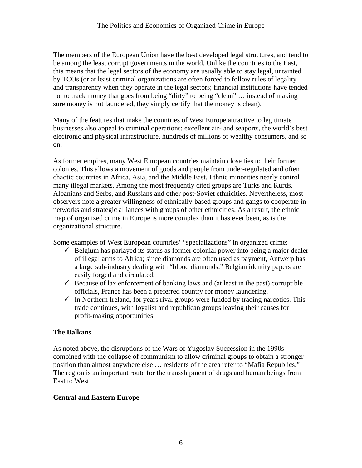The members of the European Union have the best developed legal structures, and tend to be among the least corrupt governments in the world. Unlike the countries to the East, this means that the legal sectors of the economy are usually able to stay legal, untainted by TCOs (or at least criminal organizations are often forced to follow rules of legality and transparency when they operate in the legal sectors; financial institutions have tended not to track money that goes from being "dirty" to being "clean" … instead of making sure money is not laundered, they simply certify that the money is clean).

Many of the features that make the countries of West Europe attractive to legitimate businesses also appeal to criminal operations: excellent air- and seaports, the world's best electronic and physical infrastructure, hundreds of millions of wealthy consumers, and so on.

As former empires, many West European countries maintain close ties to their former colonies. This allows a movement of goods and people from under-regulated and often chaotic countries in Africa, Asia, and the Middle East. Ethnic minorities nearly control many illegal markets. Among the most frequently cited groups are Turks and Kurds, Albanians and Serbs, and Russians and other post-Soviet ethnicities. Nevertheless, most observers note a greater willingness of ethnically-based groups and gangs to cooperate in networks and strategic alliances with groups of other ethnicities. As a result, the ethnic map of organized crime in Europe is more complex than it has ever been, as is the organizational structure.

Some examples of West European countries' "specializations" in organized crime:

- $\checkmark$  Belgium has parlayed its status as former colonial power into being a major dealer of illegal arms to Africa; since diamonds are often used as payment, Antwerp has a large sub-industry dealing with "blood diamonds." Belgian identity papers are easily forged and circulated.
- $\checkmark$  Because of lax enforcement of banking laws and (at least in the past) corruptible officials, France has been a preferred country for money laundering.
- $\checkmark$  In Northern Ireland, for years rival groups were funded by trading narcotics. This trade continues, with loyalist and republican groups leaving their causes for profit-making opportunities

## **The Balkans**

As noted above, the disruptions of the Wars of Yugoslav Succession in the 1990s combined with the collapse of communism to allow criminal groups to obtain a stronger position than almost anywhere else … residents of the area refer to "Mafia Republics." The region is an important route for the transshipment of drugs and human beings from East to West.

## **Central and Eastern Europe**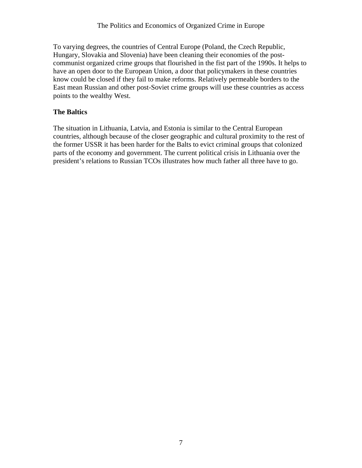To varying degrees, the countries of Central Europe (Poland, the Czech Republic, Hungary, Slovakia and Slovenia) have been cleaning their economies of the postcommunist organized crime groups that flourished in the fist part of the 1990s. It helps to have an open door to the European Union, a door that policymakers in these countries know could be closed if they fail to make reforms. Relatively permeable borders to the East mean Russian and other post-Soviet crime groups will use these countries as access points to the wealthy West.

## **The Baltics**

The situation in Lithuania, Latvia, and Estonia is similar to the Central European countries, although because of the closer geographic and cultural proximity to the rest of the former USSR it has been harder for the Balts to evict criminal groups that colonized parts of the economy and government. The current political crisis in Lithuania over the president's relations to Russian TCOs illustrates how much father all three have to go.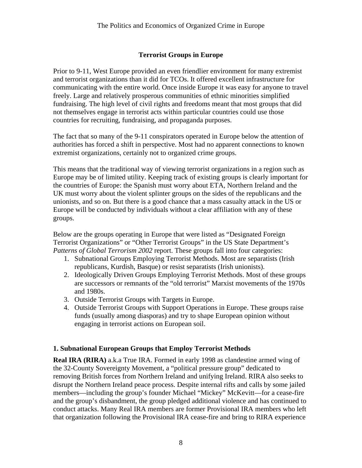#### **Terrorist Groups in Europe**

Prior to 9-11, West Europe provided an even friendlier environment for many extremist and terrorist organizations than it did for TCOs. It offered excellent infrastructure for communicating with the entire world. Once inside Europe it was easy for anyone to travel freely. Large and relatively prosperous communities of ethnic minorities simplified fundraising. The high level of civil rights and freedoms meant that most groups that did not themselves engage in terrorist acts within particular countries could use those countries for recruiting, fundraising, and propaganda purposes.

The fact that so many of the 9-11 conspirators operated in Europe below the attention of authorities has forced a shift in perspective. Most had no apparent connections to known extremist organizations, certainly not to organized crime groups.

This means that the traditional way of viewing terrorist organizations in a region such as Europe may be of limited utility. Keeping track of existing groups is clearly important for the countries of Europe: the Spanish must worry about ETA, Northern Ireland and the UK must worry about the violent splinter groups on the sides of the republicans and the unionists, and so on. But there is a good chance that a mass casualty attack in the US or Europe will be conducted by individuals without a clear affiliation with any of these groups.

Below are the groups operating in Europe that were listed as "Designated Foreign Terrorist Organizations" or "Other Terrorist Groups" in the US State Department's *Patterns of Global Terrorism 2002* report. These groups fall into four categories:

- 1. Subnational Groups Employing Terrorist Methods. Most are separatists (Irish republicans, Kurdish, Basque) or resist separatists (Irish unionists).
- 2. Ideologically Driven Groups Employing Terrorist Methods. Most of these groups are successors or remnants of the "old terrorist" Marxist movements of the 1970s and 1980s.
- 3. Outside Terrorist Groups with Targets in Europe.
- 4. Outside Terrorist Groups with Support Operations in Europe. These groups raise funds (usually among diasporas) and try to shape European opinion without engaging in terrorist actions on European soil.

#### **1. Subnational European Groups that Employ Terrorist Methods**

**Real IRA (RIRA)** a.k.a True IRA. Formed in early 1998 as clandestine armed wing of the 32-County Sovereignty Movement, a "political pressure group" dedicated to removing British forces from Northern Ireland and unifying Ireland. RIRA also seeks to disrupt the Northern Ireland peace process. Despite internal rifts and calls by some jailed members—including the group's founder Michael "Mickey" McKevitt—for a cease-fire and the group's disbandment, the group pledged additional violence and has continued to conduct attacks. Many Real IRA members are former Provisional IRA members who left that organization following the Provisional IRA cease-fire and bring to RIRA experience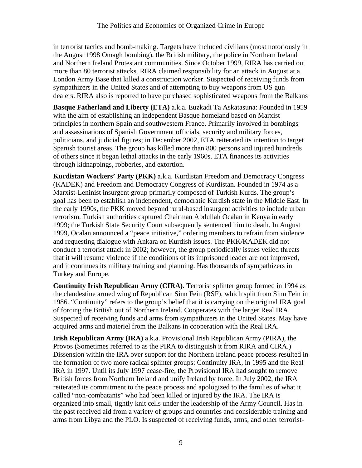in terrorist tactics and bomb-making. Targets have included civilians (most notoriously in the August 1998 Omagh bombing), the British military, the police in Northern Ireland and Northern Ireland Protestant communities. Since October 1999, RIRA has carried out more than 80 terrorist attacks. RIRA claimed responsibility for an attack in August at a London Army Base that killed a construction worker. Suspected of receiving funds from sympathizers in the United States and of attempting to buy weapons from US gun dealers. RIRA also is reported to have purchased sophisticated weapons from the Balkans

**Basque Fatherland and Liberty (ETA)** a.k.a. Euzkadi Ta Askatasuna: Founded in 1959 with the aim of establishing an independent Basque homeland based on Marxist principles in northern Spain and southwestern France. Primarily involved in bombings and assassinations of Spanish Government officials, security and military forces, politicians, and judicial figures; in December 2002, ETA reiterated its intention to target Spanish tourist areas. The group has killed more than 800 persons and injured hundreds of others since it began lethal attacks in the early 1960s. ETA finances its activities through kidnappings, robberies, and extortion.

**Kurdistan Workers' Party (PKK)** a.k.a. Kurdistan Freedom and Democracy Congress (KADEK) and Freedom and Democracy Congress of Kurdistan. Founded in 1974 as a Marxist-Leninist insurgent group primarily composed of Turkish Kurds. The group's goal has been to establish an independent, democratic Kurdish state in the Middle East. In the early 1990s, the PKK moved beyond rural-based insurgent activities to include urban terrorism. Turkish authorities captured Chairman Abdullah Ocalan in Kenya in early 1999; the Turkish State Security Court subsequently sentenced him to death. In August 1999, Ocalan announced a "peace initiative," ordering members to refrain from violence and requesting dialogue with Ankara on Kurdish issues. The PKK/KADEK did not conduct a terrorist attack in 2002; however, the group periodically issues veiled threats that it will resume violence if the conditions of its imprisoned leader are not improved, and it continues its military training and planning. Has thousands of sympathizers in Turkey and Europe.

**Continuity Irish Republican Army (CIRA).** Terrorist splinter group formed in 1994 as the clandestine armed wing of Republican Sinn Fein (RSF), which split from Sinn Fein in 1986. "Continuity" refers to the group's belief that it is carrying on the original IRA goal of forcing the British out of Northern Ireland. Cooperates with the larger Real IRA. Suspected of receiving funds and arms from sympathizers in the United States. May have acquired arms and materiel from the Balkans in cooperation with the Real IRA.

**Irish Republican Army (IRA)** a.k.a. Provisional Irish Republican Army (PIRA), the Provos (Sometimes referred to as the PIRA to distinguish it from RIRA and CIRA.) Dissension within the IRA over support for the Northern Ireland peace process resulted in the formation of two more radical splinter groups: Continuity IRA, in 1995 and the Real IRA in 1997. Until its July 1997 cease-fire, the Provisional IRA had sought to remove British forces from Northern Ireland and unify Ireland by force. In July 2002, the IRA reiterated its commitment to the peace process and apologized to the families of what it called "non-combatants" who had been killed or injured by the IRA. The IRA is organized into small, tightly knit cells under the leadership of the Army Council. Has in the past received aid from a variety of groups and countries and considerable training and arms from Libya and the PLO. Is suspected of receiving funds, arms, and other terrorist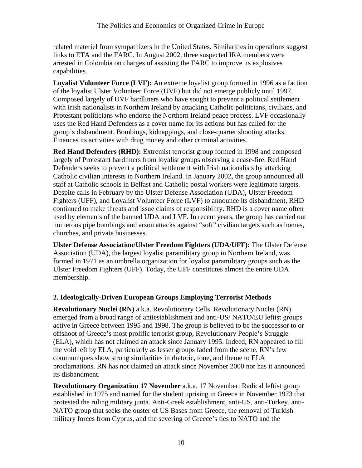related materiel from sympathizers in the United States. Similarities in operations suggest links to ETA and the FARC. In August 2002, three suspected IRA members were arrested in Colombia on charges of assisting the FARC to improve its explosives capabilities.

**Loyalist Volunteer Force (LVF):** An extreme loyalist group formed in 1996 as a faction of the loyalist Ulster Volunteer Force (UVF) but did not emerge publicly until 1997. Composed largely of UVF hardliners who have sought to prevent a political settlement with Irish nationalists in Northern Ireland by attacking Catholic politicians, civilians, and Protestant politicians who endorse the Northern Ireland peace process. LVF occasionally uses the Red Hand Defenders as a cover name for its actions but has called for the group's disbandment. Bombings, kidnappings, and close-quarter shooting attacks. Finances its activities with drug money and other criminal activities.

**Red Hand Defenders (RHD):** Extremist terrorist group formed in 1998 and composed largely of Protestant hardliners from loyalist groups observing a cease-fire. Red Hand Defenders seeks to prevent a political settlement with Irish nationalists by attacking Catholic civilian interests in Northern Ireland. In January 2002, the group announced all staff at Catholic schools in Belfast and Catholic postal workers were legitimate targets. Despite calls in February by the Ulster Defense Association (UDA), Ulster Freedom Fighters (UFF), and Loyalist Volunteer Force (LVF) to announce its disbandment, RHD continued to make threats and issue claims of responsibility. RHD is a cover name often used by elements of the banned UDA and LVF. In recent years, the group has carried out numerous pipe bombings and arson attacks against "soft" civilian targets such as homes, churches, and private businesses.

**Ulster Defense Association/Ulster Freedom Fighters (UDA/UFF):** The Ulster Defense Association (UDA), the largest loyalist paramilitary group in Northern Ireland, was formed in 1971 as an umbrella organization for loyalist paramilitary groups such as the Ulster Freedom Fighters (UFF). Today, the UFF constitutes almost the entire UDA membership.

## **2. Ideologically-Driven European Groups Employing Terrorist Methods**

**Revolutionary Nuclei (RN)** a.k.a. Revolutionary Cells. Revolutionary Nuclei (RN) emerged from a broad range of antiestablishment and anti-US/ NATO/EU leftist groups active in Greece between 1995 and 1998. The group is believed to be the successor to or offshoot of Greece's most prolific terrorist group, Revolutionary People's Struggle (ELA), which has not claimed an attack since January 1995. Indeed, RN appeared to fill the void left by ELA, particularly as lesser groups faded from the scene. RN's few communiques show strong similarities in rhetoric, tone, and theme to ELA proclamations. RN has not claimed an attack since November 2000 nor has it announced its disbandment.

**Revolutionary Organization 17 November** a.k.a. 17 November: Radical leftist group established in 1975 and named for the student uprising in Greece in November 1973 that protested the ruling military junta. Anti-Greek establishment, anti-US, anti-Turkey, anti-NATO group that seeks the ouster of US Bases from Greece, the removal of Turkish military forces from Cyprus, and the severing of Greece's ties to NATO and the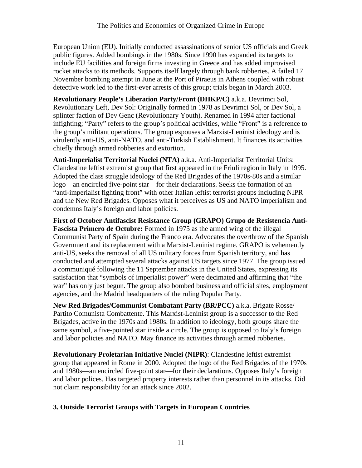European Union (EU). Initially conducted assassinations of senior US officials and Greek public figures. Added bombings in the 1980s. Since 1990 has expanded its targets to include EU facilities and foreign firms investing in Greece and has added improvised rocket attacks to its methods. Supports itself largely through bank robberies. A failed 17 November bombing attempt in June at the Port of Piraeus in Athens coupled with robust detective work led to the first-ever arrests of this group; trials began in March 2003.

**Revolutionary People's Liberation Party/Front (DHKP/C)** a.k.a. Devrimci Sol, Revolutionary Left, Dev Sol: Originally formed in 1978 as Devrimci Sol, or Dev Sol, a splinter faction of Dev Genc (Revolutionary Youth). Renamed in 1994 after factional infighting; "Party" refers to the group's political activities, while "Front" is a reference to the group's militant operations. The group espouses a Marxist-Leninist ideology and is virulently anti-US, anti-NATO, and anti-Turkish Establishment. It finances its activities chiefly through armed robberies and extortion.

**Anti-Imperialist Territorial Nuclei (NTA)** a.k.a. Anti-Imperialist Territorial Units: Clandestine leftist extremist group that first appeared in the Friuli region in Italy in 1995. Adopted the class struggle ideology of the Red Brigades of the 1970s-80s and a similar logo—an encircled five-point star—for their declarations. Seeks the formation of an "anti-imperialist fighting front" with other Italian leftist terrorist groups including NIPR and the New Red Brigades. Opposes what it perceives as US and NATO imperialism and condemns Italy's foreign and labor policies.

**First of October Antifascist Resistance Group (GRAPO) Grupo de Resistencia Anti-Fascista Primero de Octubre:** Formed in 1975 as the armed wing of the illegal Communist Party of Spain during the Franco era. Advocates the overthrow of the Spanish Government and its replacement with a Marxist-Leninist regime. GRAPO is vehemently anti-US, seeks the removal of all US military forces from Spanish territory, and has conducted and attempted several attacks against US targets since 1977. The group issued a communiqué following the 11 September attacks in the United States, expressing its satisfaction that "symbols of imperialist power" were decimated and affirming that "the war" has only just begun. The group also bombed business and official sites, employment agencies, and the Madrid headquarters of the ruling Popular Party.

**New Red Brigades/Communist Combatant Party (BR/PCC)** a.k.a. Brigate Rosse/ Partito Comunista Combattente. This Marxist-Leninist group is a successor to the Red Brigades, active in the 1970s and 1980s. In addition to ideology, both groups share the same symbol, a five-pointed star inside a circle. The group is opposed to Italy's foreign and labor policies and NATO. May finance its activities through armed robberies.

**Revolutionary Proletarian Initiative Nuclei (NIPR)**: Clandestine leftist extremist group that appeared in Rome in 2000. Adopted the logo of the Red Brigades of the 1970s and 1980s—an encircled five-point star—for their declarations. Opposes Italy's foreign and labor polices. Has targeted property interests rather than personnel in its attacks. Did not claim responsibility for an attack since 2002.

## **3. Outside Terrorist Groups with Targets in European Countries**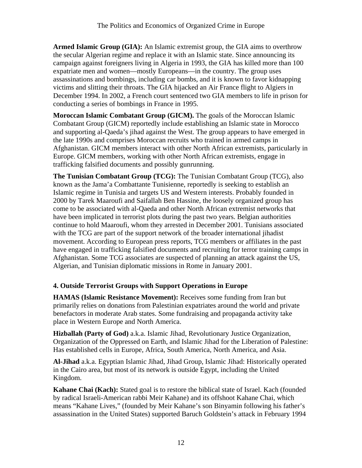**Armed Islamic Group (GIA):** An Islamic extremist group, the GIA aims to overthrow the secular Algerian regime and replace it with an Islamic state. Since announcing its campaign against foreigners living in Algeria in 1993, the GIA has killed more than 100 expatriate men and women—mostly Europeans—in the country. The group uses assassinations and bombings, including car bombs, and it is known to favor kidnapping victims and slitting their throats. The GIA hijacked an Air France flight to Algiers in December 1994. In 2002, a French court sentenced two GIA members to life in prison for conducting a series of bombings in France in 1995.

**Moroccan Islamic Combatant Group (GICM).** The goals of the Moroccan Islamic Combatant Group (GICM) reportedly include establishing an Islamic state in Morocco and supporting al-Qaeda's jihad against the West. The group appears to have emerged in the late 1990s and comprises Moroccan recruits who trained in armed camps in Afghanistan. GICM members interact with other North African extremists, particularly in Europe. GICM members, working with other North African extremists, engage in trafficking falsified documents and possibly gunrunning.

**The Tunisian Combatant Group (TCG):** The Tunisian Combatant Group (TCG), also known as the Jama'a Combattante Tunisienne, reportedly is seeking to establish an Islamic regime in Tunisia and targets US and Western interests. Probably founded in 2000 by Tarek Maaroufi and Saifallah Ben Hassine, the loosely organized group has come to be associated with al-Qaeda and other North African extremist networks that have been implicated in terrorist plots during the past two years. Belgian authorities continue to hold Maaroufi, whom they arrested in December 2001. Tunisians associated with the TCG are part of the support network of the broader international jihadist movement. According to European press reports, TCG members or affiliates in the past have engaged in trafficking falsified documents and recruiting for terror training camps in Afghanistan. Some TCG associates are suspected of planning an attack against the US, Algerian, and Tunisian diplomatic missions in Rome in January 2001.

## **4. Outside Terrorist Groups with Support Operations in Europe**

**HAMAS (Islamic Resistance Movement):** Receives some funding from Iran but primarily relies on donations from Palestinian expatriates around the world and private benefactors in moderate Arab states. Some fundraising and propaganda activity take place in Western Europe and North America.

**Hizballah (Party of God)** a.k.a. Islamic Jihad, Revolutionary Justice Organization, Organization of the Oppressed on Earth, and Islamic Jihad for the Liberation of Palestine: Has established cells in Europe, Africa, South America, North America, and Asia.

**Al-Jihad** a.k.a. Egyptian Islamic Jihad, Jihad Group, Islamic Jihad: Historically operated in the Cairo area, but most of its network is outside Egypt, including the United Kingdom.

**Kahane Chai (Kach):** Stated goal is to restore the biblical state of Israel. Kach (founded by radical Israeli-American rabbi Meir Kahane) and its offshoot Kahane Chai, which means "Kahane Lives," (founded by Meir Kahane's son Binyamin following his father's assassination in the United States) supported Baruch Goldstein's attack in February 1994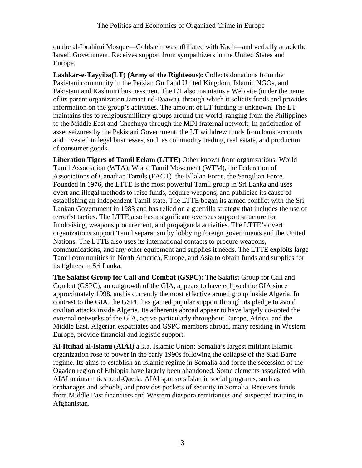on the al-Ibrahimi Mosque—Goldstein was affiliated with Kach—and verbally attack the Israeli Government. Receives support from sympathizers in the United States and Europe.

**Lashkar-e-Tayyiba(LT) (Army of the Righteous):** Collects donations from the Pakistani community in the Persian Gulf and United Kingdom, Islamic NGOs, and Pakistani and Kashmiri businessmen. The LT also maintains a Web site (under the name of its parent organization Jamaat ud-Daawa), through which it solicits funds and provides information on the group's activities. The amount of LT funding is unknown. The LT maintains ties to religious/military groups around the world, ranging from the Philippines to the Middle East and Chechnya through the MDI fraternal network. In anticipation of asset seizures by the Pakistani Government, the LT withdrew funds from bank accounts and invested in legal businesses, such as commodity trading, real estate, and production of consumer goods.

**Liberation Tigers of Tamil Eelam (LTTE)** Other known front organizations: World Tamil Association (WTA), World Tamil Movement (WTM), the Federation of Associations of Canadian Tamils (FACT), the Ellalan Force, the Sangilian Force. Founded in 1976, the LTTE is the most powerful Tamil group in Sri Lanka and uses overt and illegal methods to raise funds, acquire weapons, and publicize its cause of establishing an independent Tamil state. The LTTE began its armed conflict with the Sri Lankan Government in 1983 and has relied on a guerrilla strategy that includes the use of terrorist tactics. The LTTE also has a significant overseas support structure for fundraising, weapons procurement, and propaganda activities. The LTTE's overt organizations support Tamil separatism by lobbying foreign governments and the United Nations. The LTTE also uses its international contacts to procure weapons, communications, and any other equipment and supplies it needs. The LTTE exploits large Tamil communities in North America, Europe, and Asia to obtain funds and supplies for its fighters in Sri Lanka.

**The Salafist Group for Call and Combat (GSPC):** The Salafist Group for Call and Combat (GSPC), an outgrowth of the GIA, appears to have eclipsed the GIA since approximately 1998, and is currently the most effective armed group inside Algeria. In contrast to the GIA, the GSPC has gained popular support through its pledge to avoid civilian attacks inside Algeria. Its adherents abroad appear to have largely co-opted the external networks of the GIA, active particularly throughout Europe, Africa, and the Middle East. Algerian expatriates and GSPC members abroad, many residing in Western Europe, provide financial and logistic support.

**Al-Ittihad al-Islami (AIAI)** a.k.a. Islamic Union: Somalia's largest militant Islamic organization rose to power in the early 1990s following the collapse of the Siad Barre regime. Its aims to establish an Islamic regime in Somalia and force the secession of the Ogaden region of Ethiopia have largely been abandoned. Some elements associated with AIAI maintain ties to al-Qaeda. AIAI sponsors Islamic social programs, such as orphanages and schools, and provides pockets of security in Somalia. Receives funds from Middle East financiers and Western diaspora remittances and suspected training in Afghanistan.